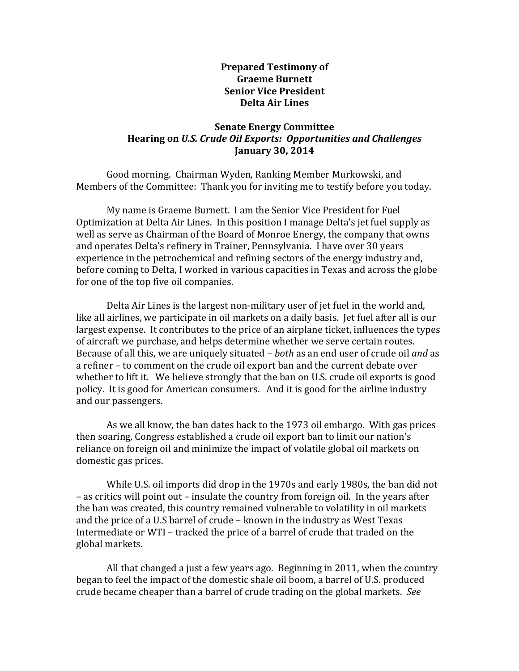## **Prepared Testimony of Graeme Burnett Senior Vice President Delta Air Lines**

## **Senate Energy Committee Hearing on** *U.S. Crude Oil Exports: Opportunities and Challenges* **January 30, 2014**

Good morning. Chairman Wyden, Ranking Member Murkowski, and Members of the Committee: Thank you for inviting me to testify before you today.

My name is Graeme Burnett. I am the Senior Vice President for Fuel Optimization at Delta Air Lines. In this position I manage Delta's jet fuel supply as well as serve as Chairman of the Board of Monroe Energy, the company that owns and operates Delta's refinery in Trainer, Pennsylvania. I have over 30 years experience in the petrochemical and refining sectors of the energy industry and, before coming to Delta, I worked in various capacities in Texas and across the globe for one of the top five oil companies.

Delta Air Lines is the largest non‐military user of jet fuel in the world and, like all airlines, we participate in oil markets on a daily basis. Jet fuel after all is our largest expense. It contributes to the price of an airplane ticket, influences the types of aircraft we purchase, and helps determine whether we serve certain routes. Because of all this, we are uniquely situated – *both* as an end user of crude oil *and* as a refiner – to comment on the crude oil export ban and the current debate over whether to lift it. We believe strongly that the ban on U.S. crude oil exports is good policy. It is good for American consumers. And it is good for the airline industry and our passengers.

As we all know, the ban dates back to the 1973 oil embargo. With gas prices then soaring, Congress established a crude oil export ban to limit our nation's reliance on foreign oil and minimize the impact of volatile global oil markets on domestic gas prices.

While U.S. oil imports did drop in the 1970s and early 1980s, the ban did not – as critics will point out – insulate the country from foreign oil. In the years after the ban was created, this country remained vulnerable to volatility in oil markets and the price of a U.S barrel of crude – known in the industry as West Texas Intermediate or WTI – tracked the price of a barrel of crude that traded on the global markets.

All that changed a just a few years ago. Beginning in 2011, when the country began to feel the impact of the domestic shale oil boom, a barrel of U.S. produced crude became cheaper than a barrel of crude trading on the global markets. *See*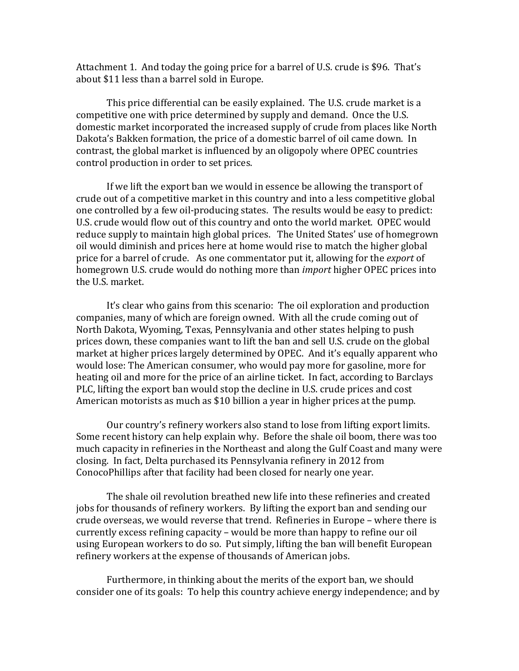Attachment 1. And today the going price for a barrel of U.S. crude is \$96. That's about \$11 less than a barrel sold in Europe.

This price differential can be easily explained. The U.S. crude market is a competitive one with price determined by supply and demand. Once the U.S. domestic market incorporated the increased supply of crude from places like North Dakota's Bakken formation, the price of a domestic barrel of oil came down. In contrast, the global market is influenced by an oligopoly where OPEC countries control production in order to set prices.

If we lift the export ban we would in essence be allowing the transport of crude out of a competitive market in this country and into a less competitive global one controlled by a few oil‐producing states. The results would be easy to predict: U.S. crude would flow out of this country and onto the world market. OPEC would reduce supply to maintain high global prices. The United States' use of homegrown oil would diminish and prices here at home would rise to match the higher global price for a barrel of crude. As one commentator put it, allowing for the *export* of homegrown U.S. crude would do nothing more than *import* higher OPEC prices into the U.S. market.

It's clear who gains from this scenario: The oil exploration and production companies, many of which are foreign owned. With all the crude coming out of North Dakota, Wyoming, Texas, Pennsylvania and other states helping to push prices down, these companies want to lift the ban and sell U.S. crude on the global market at higher prices largely determined by OPEC. And it's equally apparent who would lose: The American consumer, who would pay more for gasoline, more for heating oil and more for the price of an airline ticket. In fact, according to Barclays PLC, lifting the export ban would stop the decline in U.S. crude prices and cost American motorists as much as \$10 billion a year in higher prices at the pump.

 Our country's refinery workers also stand to lose from lifting export limits. Some recent history can help explain why. Before the shale oil boom, there was too much capacity in refineries in the Northeast and along the Gulf Coast and many were closing. In fact, Delta purchased its Pennsylvania refinery in 2012 from ConocoPhillips after that facility had been closed for nearly one year.

The shale oil revolution breathed new life into these refineries and created jobs for thousands of refinery workers. By lifting the export ban and sending our crude overseas, we would reverse that trend. Refineries in Europe – where there is currently excess refining capacity – would be more than happy to refine our oil using European workers to do so. Put simply, lifting the ban will benefit European refinery workers at the expense of thousands of American jobs.

Furthermore, in thinking about the merits of the export ban, we should consider one of its goals: To help this country achieve energy independence; and by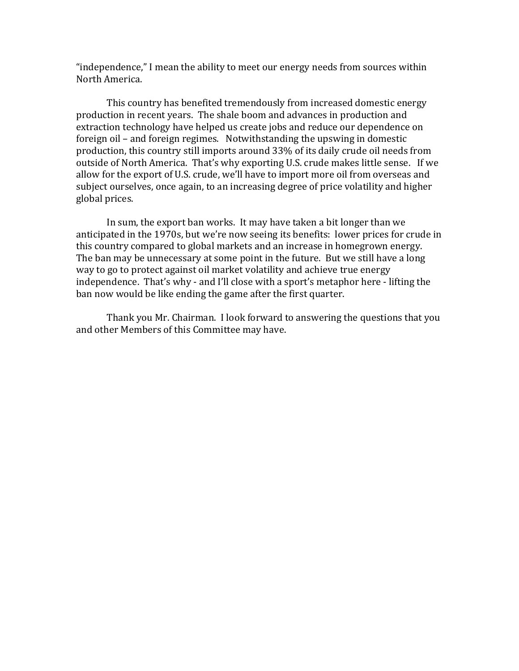"independence," I mean the ability to meet our energy needs from sources within North America.

This country has benefited tremendously from increased domestic energy production in recent years. The shale boom and advances in production and extraction technology have helped us create jobs and reduce our dependence on foreign oil – and foreign regimes. Notwithstanding the upswing in domestic production, this country still imports around 33% of its daily crude oil needs from outside of North America. That's why exporting U.S. crude makes little sense. If we allow for the export of U.S. crude, we'll have to import more oil from overseas and subject ourselves, once again, to an increasing degree of price volatility and higher global prices.

In sum, the export ban works. It may have taken a bit longer than we anticipated in the 1970s, but we're now seeing its benefits: lower prices for crude in this country compared to global markets and an increase in homegrown energy. The ban may be unnecessary at some point in the future. But we still have a long way to go to protect against oil market volatility and achieve true energy independence. That's why ‐ and I'll close with a sport's metaphor here ‐ lifting the ban now would be like ending the game after the first quarter.

Thank you Mr. Chairman. I look forward to answering the questions that you and other Members of this Committee may have.